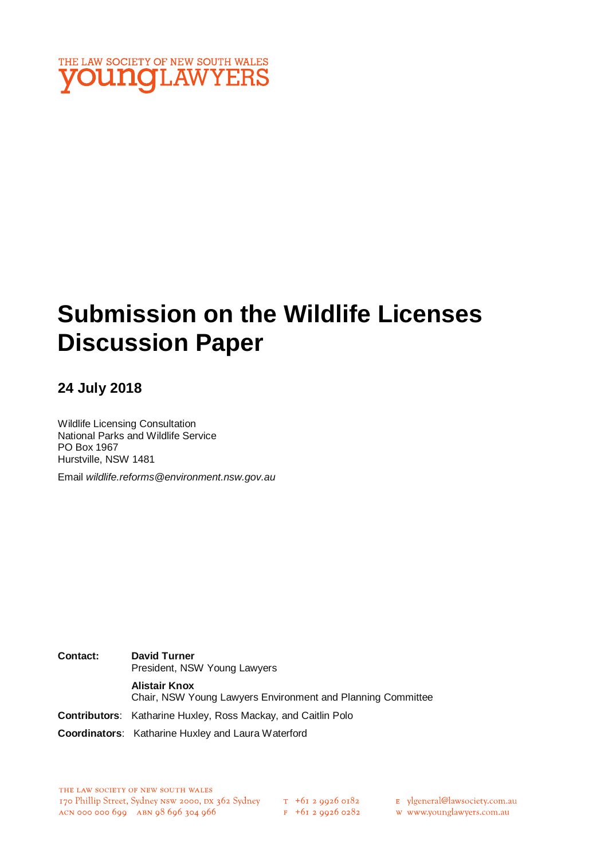

# **Submission on the Wildlife Licenses Discussion Paper**

## **24 July 2018**

Wildlife Licensing Consultation National Parks and Wildlife Service PO Box 1967 Hurstville, NSW 1481

Email *wildlife.reforms@environment.nsw.gov.au*

**Contact: David Turner** President, NSW Young Lawyers **Alistair Knox** Chair, NSW Young Lawyers Environment and Planning Committee **Contributors**: Katharine Huxley, Ross Mackay, and Caitlin Polo **Coordinators**: Katharine Huxley and Laura Waterford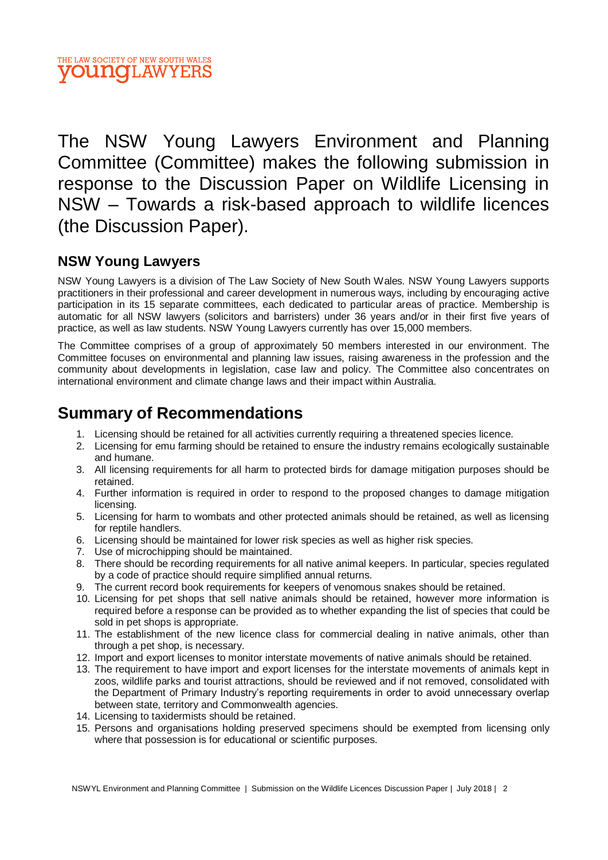

The NSW Young Lawyers Environment and Planning Committee (Committee) makes the following submission in response to the Discussion Paper on Wildlife Licensing in NSW – Towards a risk-based approach to wildlife licences (the Discussion Paper).

## **NSW Young Lawyers**

NSW Young Lawyers is a division of The Law Society of New South Wales. NSW Young Lawyers supports practitioners in their professional and career development in numerous ways, including by encouraging active participation in its 15 separate committees, each dedicated to particular areas of practice. Membership is automatic for all NSW lawyers (solicitors and barristers) under 36 years and/or in their first five years of practice, as well as law students. NSW Young Lawyers currently has over 15,000 members.

The Committee comprises of a group of approximately 50 members interested in our environment. The Committee focuses on environmental and planning law issues, raising awareness in the profession and the community about developments in legislation, case law and policy. The Committee also concentrates on international environment and climate change laws and their impact within Australia.

# **Summary of Recommendations**

- 1. Licensing should be retained for all activities currently requiring a threatened species licence.
- 2. Licensing for emu farming should be retained to ensure the industry remains ecologically sustainable and humane.
- 3. All licensing requirements for all harm to protected birds for damage mitigation purposes should be retained.
- 4. Further information is required in order to respond to the proposed changes to damage mitigation licensing.
- 5. Licensing for harm to wombats and other protected animals should be retained, as well as licensing for reptile handlers.
- 6. Licensing should be maintained for lower risk species as well as higher risk species.
- 7. Use of microchipping should be maintained.
- 8. There should be recording requirements for all native animal keepers. In particular, species regulated by a code of practice should require simplified annual returns.
- 9. The current record book requirements for keepers of venomous snakes should be retained.
- 10. Licensing for pet shops that sell native animals should be retained, however more information is required before a response can be provided as to whether expanding the list of species that could be sold in pet shops is appropriate.
- 11. The establishment of the new licence class for commercial dealing in native animals, other than through a pet shop, is necessary.
- 12. Import and export licenses to monitor interstate movements of native animals should be retained.
- 13. The requirement to have import and export licenses for the interstate movements of animals kept in zoos, wildlife parks and tourist attractions, should be reviewed and if not removed, consolidated with the Department of Primary Industry's reporting requirements in order to avoid unnecessary overlap between state, territory and Commonwealth agencies.
- 14. Licensing to taxidermists should be retained.
- 15. Persons and organisations holding preserved specimens should be exempted from licensing only where that possession is for educational or scientific purposes.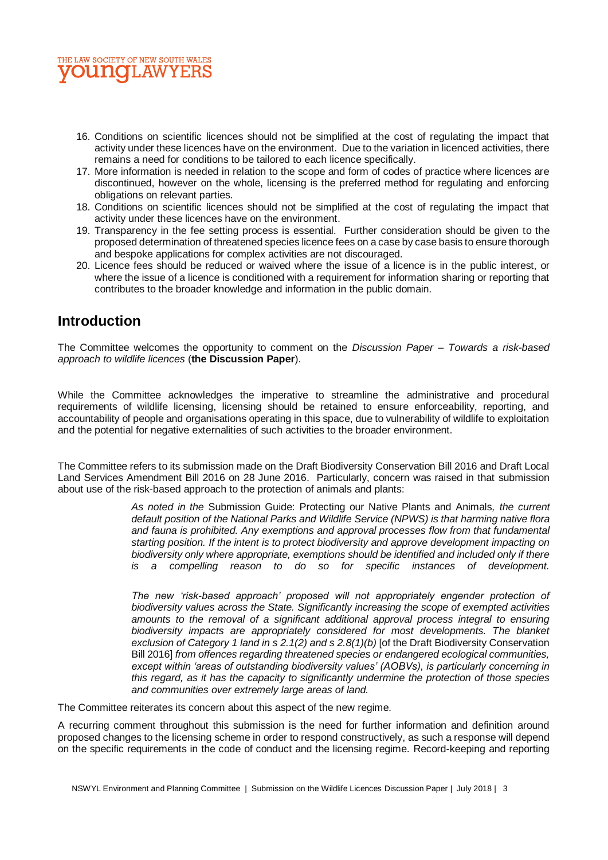

- 16. Conditions on scientific licences should not be simplified at the cost of regulating the impact that activity under these licences have on the environment. Due to the variation in licenced activities, there remains a need for conditions to be tailored to each licence specifically.
- 17. More information is needed in relation to the scope and form of codes of practice where licences are discontinued, however on the whole, licensing is the preferred method for regulating and enforcing obligations on relevant parties.
- 18. Conditions on scientific licences should not be simplified at the cost of regulating the impact that activity under these licences have on the environment.
- 19. Transparency in the fee setting process is essential. Further consideration should be given to the proposed determination of threatened species licence fees on a case by case basis to ensure thorough and bespoke applications for complex activities are not discouraged.
- 20. Licence fees should be reduced or waived where the issue of a licence is in the public interest, or where the issue of a licence is conditioned with a requirement for information sharing or reporting that contributes to the broader knowledge and information in the public domain.

## **Introduction**

The Committee welcomes the opportunity to comment on the *Discussion Paper – Towards a risk-based approach to wildlife licences* (**the Discussion Paper**).

While the Committee acknowledges the imperative to streamline the administrative and procedural requirements of wildlife licensing, licensing should be retained to ensure enforceability, reporting, and accountability of people and organisations operating in this space, due to vulnerability of wildlife to exploitation and the potential for negative externalities of such activities to the broader environment.

The Committee refers to its submission made on the Draft Biodiversity Conservation Bill 2016 and Draft Local Land Services Amendment Bill 2016 on 28 June 2016. Particularly, concern was raised in that submission about use of the risk-based approach to the protection of animals and plants:

> *As noted in the* Submission Guide: Protecting our Native Plants and Animals*, the current default position of the National Parks and Wildlife Service (NPWS) is that harming native flora and fauna is prohibited. Any exemptions and approval processes flow from that fundamental starting position. If the intent is to protect biodiversity and approve development impacting on biodiversity only where appropriate, exemptions should be identified and included only if there is a compelling reason to do so for specific instances of development.*

> *The new 'risk-based approach' proposed will not appropriately engender protection of biodiversity values across the State. Significantly increasing the scope of exempted activities amounts to the removal of a significant additional approval process integral to ensuring biodiversity impacts are appropriately considered for most developments. The blanket exclusion of Category 1 land in s 2.1(2) and s 2.8(1)(b)* [of the Draft Biodiversity Conservation Bill 2016] *from offences regarding threatened species or endangered ecological communities, except within 'areas of outstanding biodiversity values' (AOBVs), is particularly concerning in this regard, as it has the capacity to significantly undermine the protection of those species and communities over extremely large areas of land.*

The Committee reiterates its concern about this aspect of the new regime.

A recurring comment throughout this submission is the need for further information and definition around proposed changes to the licensing scheme in order to respond constructively, as such a response will depend on the specific requirements in the code of conduct and the licensing regime. Record-keeping and reporting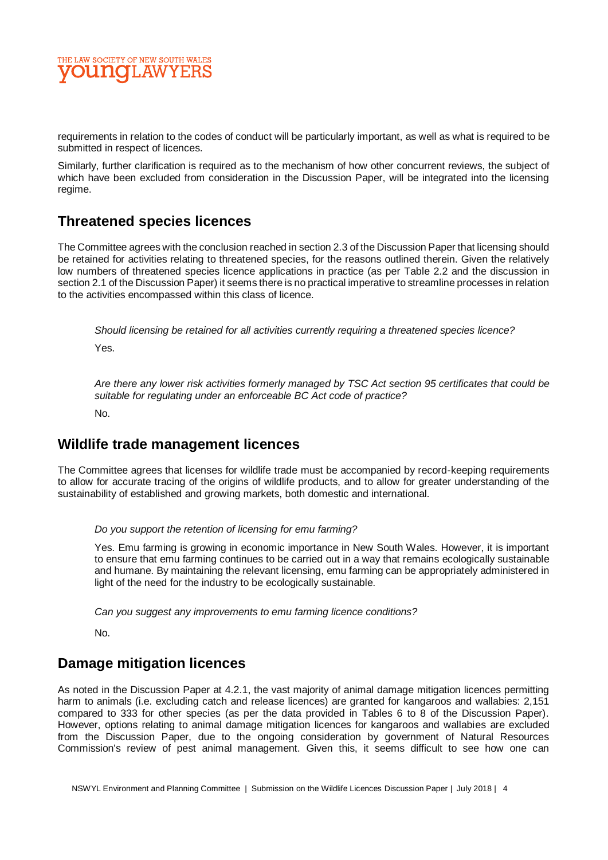

requirements in relation to the codes of conduct will be particularly important, as well as what is required to be submitted in respect of licences.

Similarly, further clarification is required as to the mechanism of how other concurrent reviews, the subject of which have been excluded from consideration in the Discussion Paper, will be integrated into the licensing regime.

## **Threatened species licences**

The Committee agrees with the conclusion reached in section 2.3 of the Discussion Paper that licensing should be retained for activities relating to threatened species, for the reasons outlined therein. Given the relatively low numbers of threatened species licence applications in practice (as per Table 2.2 and the discussion in section 2.1 of the Discussion Paper) it seems there is no practical imperative to streamline processes in relation to the activities encompassed within this class of licence.

*Should licensing be retained for all activities currently requiring a threatened species licence?*

Yes.

*Are there any lower risk activities formerly managed by TSC Act section 95 certificates that could be suitable for regulating under an enforceable BC Act code of practice?*

No.

## **Wildlife trade management licences**

The Committee agrees that licenses for wildlife trade must be accompanied by record-keeping requirements to allow for accurate tracing of the origins of wildlife products, and to allow for greater understanding of the sustainability of established and growing markets, both domestic and international.

#### *Do you support the retention of licensing for emu farming?*

Yes. Emu farming is growing in economic importance in New South Wales. However, it is important to ensure that emu farming continues to be carried out in a way that remains ecologically sustainable and humane. By maintaining the relevant licensing, emu farming can be appropriately administered in light of the need for the industry to be ecologically sustainable.

*Can you suggest any improvements to emu farming licence conditions?* 

No.

## **Damage mitigation licences**

As noted in the Discussion Paper at 4.2.1, the vast majority of animal damage mitigation licences permitting harm to animals (i.e. excluding catch and release licences) are granted for kangaroos and wallabies: 2,151 compared to 333 for other species (as per the data provided in Tables 6 to 8 of the Discussion Paper). However, options relating to animal damage mitigation licences for kangaroos and wallabies are excluded from the Discussion Paper, due to the ongoing consideration by government of Natural Resources Commission's review of pest animal management. Given this, it seems difficult to see how one can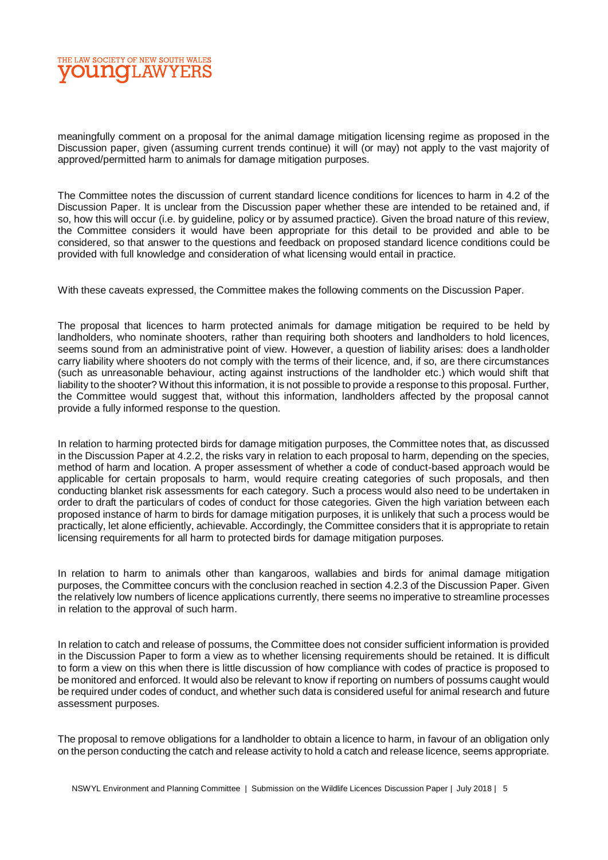

meaningfully comment on a proposal for the animal damage mitigation licensing regime as proposed in the Discussion paper, given (assuming current trends continue) it will (or may) not apply to the vast majority of approved/permitted harm to animals for damage mitigation purposes.

The Committee notes the discussion of current standard licence conditions for licences to harm in 4.2 of the Discussion Paper. It is unclear from the Discussion paper whether these are intended to be retained and, if so, how this will occur (i.e. by guideline, policy or by assumed practice). Given the broad nature of this review, the Committee considers it would have been appropriate for this detail to be provided and able to be considered, so that answer to the questions and feedback on proposed standard licence conditions could be provided with full knowledge and consideration of what licensing would entail in practice.

With these caveats expressed, the Committee makes the following comments on the Discussion Paper.

The proposal that licences to harm protected animals for damage mitigation be required to be held by landholders, who nominate shooters, rather than requiring both shooters and landholders to hold licences, seems sound from an administrative point of view. However, a question of liability arises: does a landholder carry liability where shooters do not comply with the terms of their licence, and, if so, are there circumstances (such as unreasonable behaviour, acting against instructions of the landholder etc.) which would shift that liability to the shooter? Without this information, it is not possible to provide a response to this proposal. Further, the Committee would suggest that, without this information, landholders affected by the proposal cannot provide a fully informed response to the question.

In relation to harming protected birds for damage mitigation purposes, the Committee notes that, as discussed in the Discussion Paper at 4.2.2, the risks vary in relation to each proposal to harm, depending on the species, method of harm and location. A proper assessment of whether a code of conduct-based approach would be applicable for certain proposals to harm, would require creating categories of such proposals, and then conducting blanket risk assessments for each category. Such a process would also need to be undertaken in order to draft the particulars of codes of conduct for those categories. Given the high variation between each proposed instance of harm to birds for damage mitigation purposes, it is unlikely that such a process would be practically, let alone efficiently, achievable. Accordingly, the Committee considers that it is appropriate to retain licensing requirements for all harm to protected birds for damage mitigation purposes.

In relation to harm to animals other than kangaroos, wallabies and birds for animal damage mitigation purposes, the Committee concurs with the conclusion reached in section 4.2.3 of the Discussion Paper. Given the relatively low numbers of licence applications currently, there seems no imperative to streamline processes in relation to the approval of such harm.

In relation to catch and release of possums, the Committee does not consider sufficient information is provided in the Discussion Paper to form a view as to whether licensing requirements should be retained. It is difficult to form a view on this when there is little discussion of how compliance with codes of practice is proposed to be monitored and enforced. It would also be relevant to know if reporting on numbers of possums caught would be required under codes of conduct, and whether such data is considered useful for animal research and future assessment purposes.

The proposal to remove obligations for a landholder to obtain a licence to harm, in favour of an obligation only on the person conducting the catch and release activity to hold a catch and release licence, seems appropriate.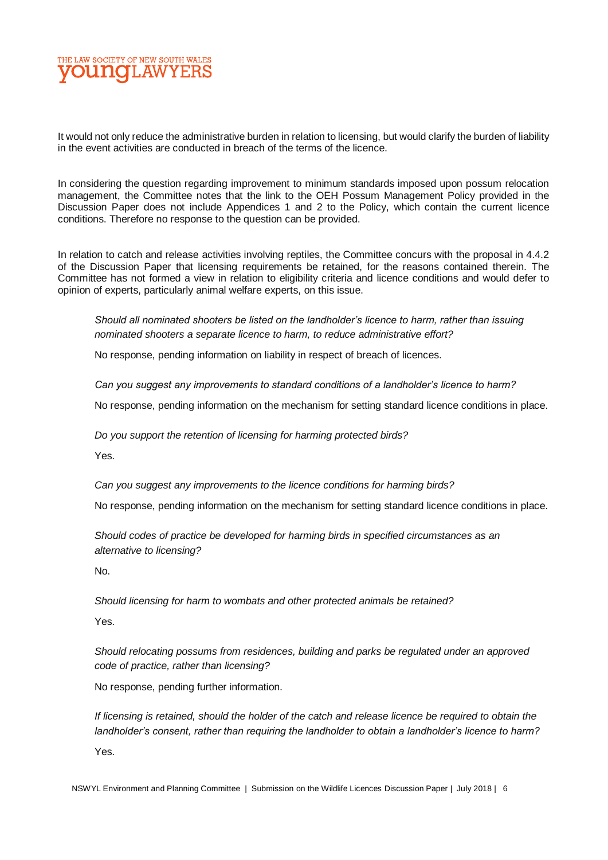

It would not only reduce the administrative burden in relation to licensing, but would clarify the burden of liability in the event activities are conducted in breach of the terms of the licence.

In considering the question regarding improvement to minimum standards imposed upon possum relocation management, the Committee notes that the link to the OEH Possum Management Policy provided in the Discussion Paper does not include Appendices 1 and 2 to the Policy, which contain the current licence conditions. Therefore no response to the question can be provided.

In relation to catch and release activities involving reptiles, the Committee concurs with the proposal in 4.4.2 of the Discussion Paper that licensing requirements be retained, for the reasons contained therein. The Committee has not formed a view in relation to eligibility criteria and licence conditions and would defer to opinion of experts, particularly animal welfare experts, on this issue.

*Should all nominated shooters be listed on the landholder's licence to harm, rather than issuing nominated shooters a separate licence to harm, to reduce administrative effort?*

No response, pending information on liability in respect of breach of licences.

*Can you suggest any improvements to standard conditions of a landholder's licence to harm?*

No response, pending information on the mechanism for setting standard licence conditions in place.

*Do you support the retention of licensing for harming protected birds?*

Yes.

*Can you suggest any improvements to the licence conditions for harming birds?*

No response, pending information on the mechanism for setting standard licence conditions in place.

*Should codes of practice be developed for harming birds in specified circumstances as an alternative to licensing?*

No.

*Should licensing for harm to wombats and other protected animals be retained?*

Yes.

*Should relocating possums from residences, building and parks be regulated under an approved code of practice, rather than licensing?*

No response, pending further information.

*If licensing is retained, should the holder of the catch and release licence be required to obtain the landholder's consent, rather than requiring the landholder to obtain a landholder's licence to harm?* Yes.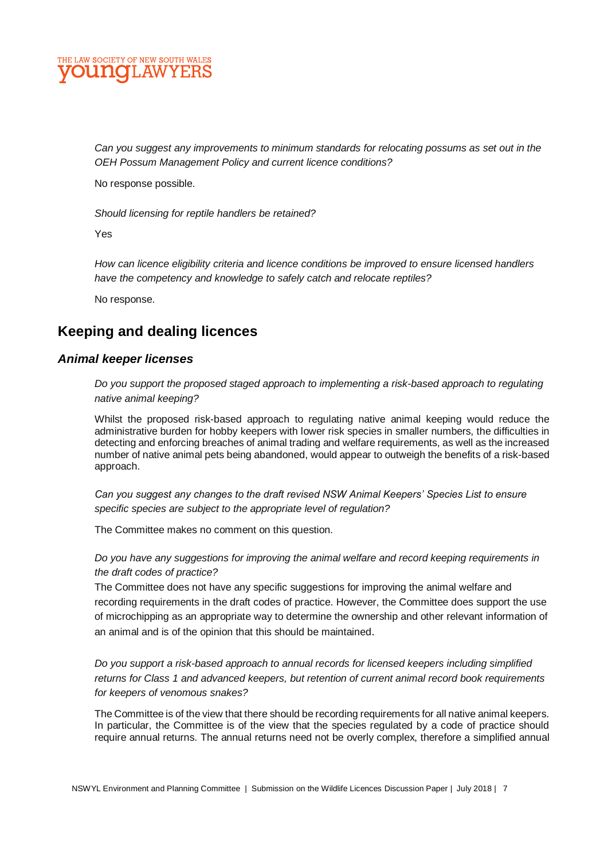## E LAW SOCIETY OF NEW SOUTH WALES **DUNCILAW**

*Can you suggest any improvements to minimum standards for relocating possums as set out in the OEH Possum Management Policy and current licence conditions?*

No response possible.

*Should licensing for reptile handlers be retained?*

Yes

*How can licence eligibility criteria and licence conditions be improved to ensure licensed handlers have the competency and knowledge to safely catch and relocate reptiles?*

No response.

## **Keeping and dealing licences**

### *Animal keeper licenses*

*Do you support the proposed staged approach to implementing a risk-based approach to regulating native animal keeping?*

Whilst the proposed risk-based approach to regulating native animal keeping would reduce the administrative burden for hobby keepers with lower risk species in smaller numbers, the difficulties in detecting and enforcing breaches of animal trading and welfare requirements, as well as the increased number of native animal pets being abandoned, would appear to outweigh the benefits of a risk-based approach.

*Can you suggest any changes to the draft revised NSW Animal Keepers' Species List to ensure specific species are subject to the appropriate level of regulation?*

The Committee makes no comment on this question.

*Do you have any suggestions for improving the animal welfare and record keeping requirements in the draft codes of practice?*

The Committee does not have any specific suggestions for improving the animal welfare and recording requirements in the draft codes of practice. However, the Committee does support the use of microchipping as an appropriate way to determine the ownership and other relevant information of an animal and is of the opinion that this should be maintained.

*Do you support a risk-based approach to annual records for licensed keepers including simplified returns for Class 1 and advanced keepers, but retention of current animal record book requirements for keepers of venomous snakes?*

The Committee is of the view that there should be recording requirements for all native animal keepers. In particular, the Committee is of the view that the species regulated by a code of practice should require annual returns. The annual returns need not be overly complex, therefore a simplified annual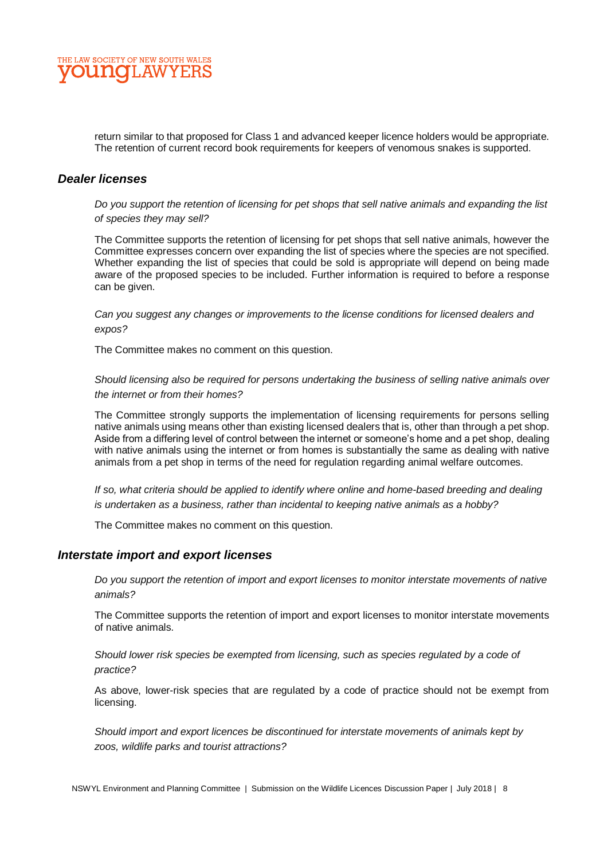

return similar to that proposed for Class 1 and advanced keeper licence holders would be appropriate. The retention of current record book requirements for keepers of venomous snakes is supported.

#### *Dealer licenses*

*Do you support the retention of licensing for pet shops that sell native animals and expanding the list of species they may sell?*

The Committee supports the retention of licensing for pet shops that sell native animals, however the Committee expresses concern over expanding the list of species where the species are not specified. Whether expanding the list of species that could be sold is appropriate will depend on being made aware of the proposed species to be included. Further information is required to before a response can be given.

*Can you suggest any changes or improvements to the license conditions for licensed dealers and expos?*

The Committee makes no comment on this question.

*Should licensing also be required for persons undertaking the business of selling native animals over the internet or from their homes?*

The Committee strongly supports the implementation of licensing requirements for persons selling native animals using means other than existing licensed dealers that is, other than through a pet shop. Aside from a differing level of control between the internet or someone's home and a pet shop, dealing with native animals using the internet or from homes is substantially the same as dealing with native animals from a pet shop in terms of the need for regulation regarding animal welfare outcomes.

*If so, what criteria should be applied to identify where online and home-based breeding and dealing is undertaken as a business, rather than incidental to keeping native animals as a hobby?* 

The Committee makes no comment on this question.

#### *Interstate import and export licenses*

*Do you support the retention of import and export licenses to monitor interstate movements of native animals?*

The Committee supports the retention of import and export licenses to monitor interstate movements of native animals.

*Should lower risk species be exempted from licensing, such as species regulated by a code of practice?* 

As above, lower-risk species that are regulated by a code of practice should not be exempt from licensing.

*Should import and export licences be discontinued for interstate movements of animals kept by zoos, wildlife parks and tourist attractions?*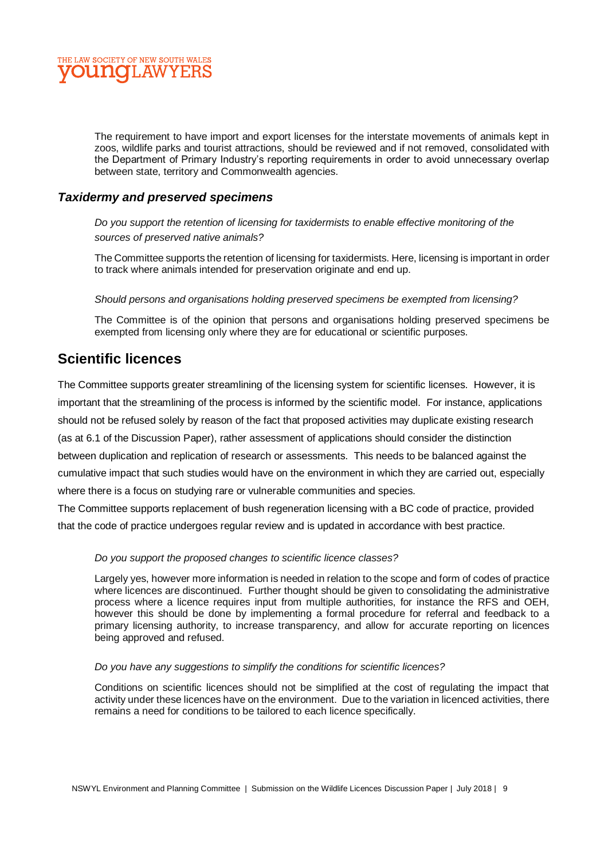

The requirement to have import and export licenses for the interstate movements of animals kept in zoos, wildlife parks and tourist attractions, should be reviewed and if not removed, consolidated with the Department of Primary Industry's reporting requirements in order to avoid unnecessary overlap between state, territory and Commonwealth agencies.

### *Taxidermy and preserved specimens*

*Do you support the retention of licensing for taxidermists to enable effective monitoring of the sources of preserved native animals?* 

The Committee supports the retention of licensing for taxidermists. Here, licensing is important in order to track where animals intended for preservation originate and end up.

*Should persons and organisations holding preserved specimens be exempted from licensing?*

The Committee is of the opinion that persons and organisations holding preserved specimens be exempted from licensing only where they are for educational or scientific purposes.

## **Scientific licences**

The Committee supports greater streamlining of the licensing system for scientific licenses. However, it is important that the streamlining of the process is informed by the scientific model. For instance, applications should not be refused solely by reason of the fact that proposed activities may duplicate existing research (as at 6.1 of the Discussion Paper), rather assessment of applications should consider the distinction between duplication and replication of research or assessments. This needs to be balanced against the cumulative impact that such studies would have on the environment in which they are carried out, especially where there is a focus on studying rare or vulnerable communities and species.

The Committee supports replacement of bush regeneration licensing with a BC code of practice, provided that the code of practice undergoes regular review and is updated in accordance with best practice.

#### *Do you support the proposed changes to scientific licence classes?*

Largely yes, however more information is needed in relation to the scope and form of codes of practice where licences are discontinued. Further thought should be given to consolidating the administrative process where a licence requires input from multiple authorities, for instance the RFS and OEH, however this should be done by implementing a formal procedure for referral and feedback to a primary licensing authority, to increase transparency, and allow for accurate reporting on licences being approved and refused.

#### *Do you have any suggestions to simplify the conditions for scientific licences?*

Conditions on scientific licences should not be simplified at the cost of regulating the impact that activity under these licences have on the environment. Due to the variation in licenced activities, there remains a need for conditions to be tailored to each licence specifically.